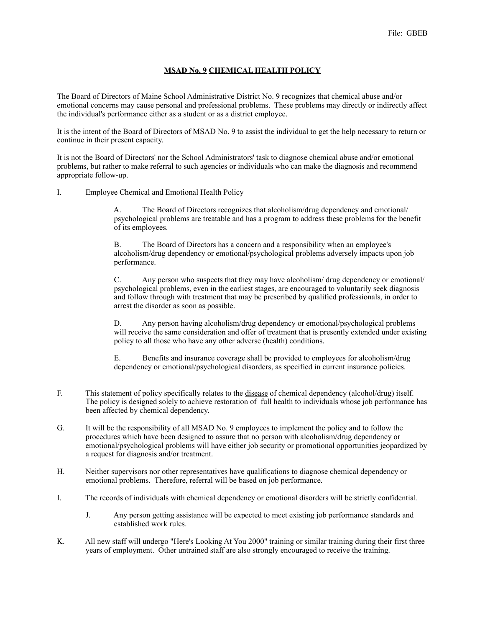## **MSAD No. 9 CHEMICAL HEALTH POLICY**

The Board of Directors of Maine School Administrative District No. 9 recognizes that chemical abuse and/or emotional concerns may cause personal and professional problems. These problems may directly or indirectly affect the individual's performance either as a student or as a district employee.

It is the intent of the Board of Directors of MSAD No. 9 to assist the individual to get the help necessary to return or continue in their present capacity.

It is not the Board of Directors' nor the School Administrators' task to diagnose chemical abuse and/or emotional problems, but rather to make referral to such agencies or individuals who can make the diagnosis and recommend appropriate follow-up.

I. Employee Chemical and Emotional Health Policy

 A. The Board of Directors recognizes that alcoholism/drug dependency and emotional/ psychological problems are treatable and has a program to address these problems for the benefit of its employees.

 B. The Board of Directors has a concern and a responsibility when an employee's alcoholism/drug dependency or emotional/psychological problems adversely impacts upon job performance.

 C. Any person who suspects that they may have alcoholism/ drug dependency or emotional/ psychological problems, even in the earliest stages, are encouraged to voluntarily seek diagnosis and follow through with treatment that may be prescribed by qualified professionals, in order to arrest the disorder as soon as possible.

 D. Any person having alcoholism/drug dependency or emotional/psychological problems will receive the same consideration and offer of treatment that is presently extended under existing policy to all those who have any other adverse (health) conditions.

 E. Benefits and insurance coverage shall be provided to employees for alcoholism/drug dependency or emotional/psychological disorders, as specified in current insurance policies.

- F. This statement of policy specifically relates to the disease of chemical dependency (alcohol/drug) itself. The policy is designed solely to achieve restoration of full health to individuals whose job performance has been affected by chemical dependency.
- G. It will be the responsibility of all MSAD No. 9 employees to implement the policy and to follow the procedures which have been designed to assure that no person with alcoholism/drug dependency or emotional/psychological problems will have either job security or promotional opportunities jeopardized by a request for diagnosis and/or treatment.
- H. Neither supervisors nor other representatives have qualifications to diagnose chemical dependency or emotional problems. Therefore, referral will be based on job performance.
- I. The records of individuals with chemical dependency or emotional disorders will be strictly confidential.
	- J. Any person getting assistance will be expected to meet existing job performance standards and established work rules.
- K. All new staff will undergo "Here's Looking At You 2000" training or similar training during their first three years of employment. Other untrained staff are also strongly encouraged to receive the training.